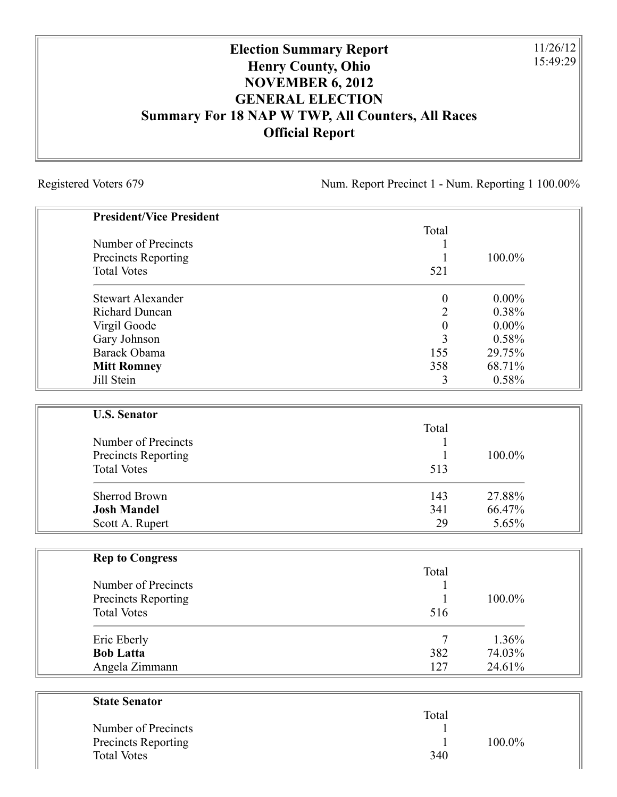## **Election Summary Report Henry County, Ohio NOVEMBER 6, 2012 GENERAL ELECTION Summary For 18 NAP W TWP, All Counters, All Races Official Report**

Registered Voters 679 Num. Report Precinct 1 - Num. Reporting 1 100.00%

11/26/12 15:49:29

| <b>President/Vice President</b> |                  |          |
|---------------------------------|------------------|----------|
|                                 | Total            |          |
| Number of Precincts             |                  |          |
| Precincts Reporting             | 1                | 100.0%   |
| <b>Total Votes</b>              | 521              |          |
| <b>Stewart Alexander</b>        | $\boldsymbol{0}$ | $0.00\%$ |
| <b>Richard Duncan</b>           | $\overline{2}$   | 0.38%    |
| Virgil Goode                    | $\boldsymbol{0}$ | $0.00\%$ |
| Gary Johnson                    | 3                | 0.58%    |
| Barack Obama                    | 155              | 29.75%   |
| <b>Mitt Romney</b>              | 358              | 68.71%   |
| Jill Stein                      | 3                | 0.58%    |
|                                 |                  |          |
| <b>U.S. Senator</b>             | Total            |          |
| Number of Precincts             |                  |          |
| Precincts Reporting             | 1                | 100.0%   |
| <b>Total Votes</b>              | 513              |          |
| <b>Sherrod Brown</b>            | 143              | 27.88%   |
| <b>Josh Mandel</b>              | 341              | 66.47%   |
| Scott A. Rupert                 | 29               | 5.65%    |
|                                 |                  |          |
| <b>Rep to Congress</b>          | Total            |          |
| Number of Precincts             |                  |          |
| Precincts Reporting             | 1                | 100.0%   |
| <b>Total Votes</b>              | 516              |          |
|                                 | 7                | 1.36%    |
| Eric Eberly                     |                  |          |
| <b>Bob Latta</b>                | 382              | 74.03%   |
| Angela Zimmann                  | 127              | 24.61%   |
| <b>State Senator</b>            |                  |          |
|                                 | Total            |          |
| Number of Precincts             |                  |          |

| Number of Precincts |     |           |
|---------------------|-----|-----------|
| Precincts Reporting |     | $100.0\%$ |
| Total Votes         | 340 |           |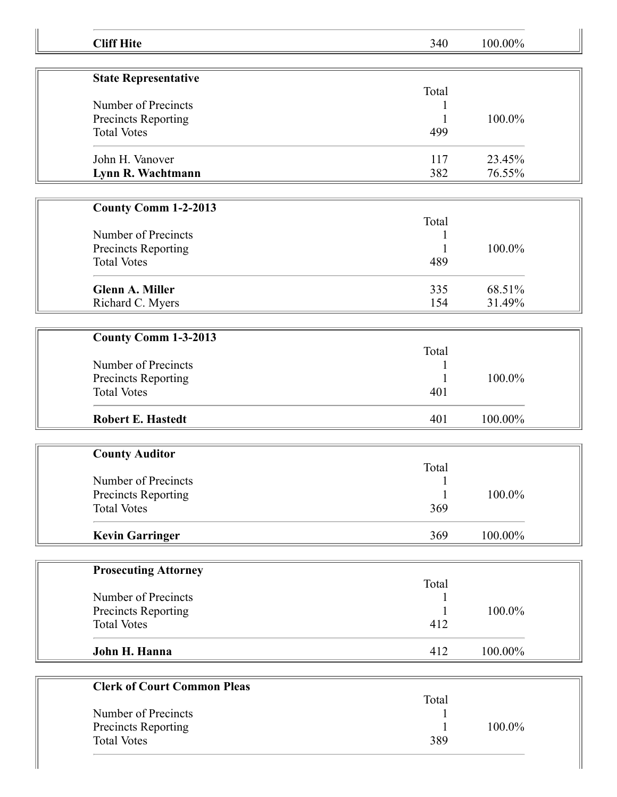| <b>Cliff Hite</b>                  | 340   | 100.00% |
|------------------------------------|-------|---------|
| <b>State Representative</b>        |       |         |
|                                    | Total |         |
| Number of Precincts                |       |         |
| Precincts Reporting                |       | 100.0%  |
| <b>Total Votes</b>                 | 499   |         |
| John H. Vanover                    | 117   | 23.45%  |
| Lynn R. Wachtmann                  | 382   | 76.55%  |
|                                    |       |         |
| <b>County Comm 1-2-2013</b>        |       |         |
|                                    | Total |         |
| Number of Precincts                |       |         |
| Precincts Reporting                |       | 100.0%  |
| <b>Total Votes</b>                 | 489   |         |
| <b>Glenn A. Miller</b>             | 335   | 68.51%  |
| Richard C. Myers                   | 154   | 31.49%  |
|                                    |       |         |
| County Comm 1-3-2013               | Total |         |
| Number of Precincts                |       |         |
| Precincts Reporting                |       | 100.0%  |
| <b>Total Votes</b>                 | 401   |         |
|                                    |       |         |
| <b>Robert E. Hastedt</b>           | 401   | 100.00% |
| <b>County Auditor</b>              |       |         |
|                                    | Total |         |
| Number of Precincts                | 1     |         |
| Precincts Reporting                |       | 100.0%  |
| <b>Total Votes</b>                 | 369   |         |
|                                    |       |         |
| <b>Kevin Garringer</b>             | 369   | 100.00% |
| <b>Prosecuting Attorney</b>        |       |         |
|                                    | Total |         |
| Number of Precincts                | 1     |         |
| Precincts Reporting                |       | 100.0%  |
| <b>Total Votes</b>                 | 412   |         |
| John H. Hanna                      | 412   | 100.00% |
| <b>Clerk of Court Common Pleas</b> |       |         |
|                                    | Total |         |
| Number of Precincts                |       |         |
| Precincts Reporting                |       | 100.0%  |
| <b>Total Votes</b>                 | 389   |         |
|                                    |       |         |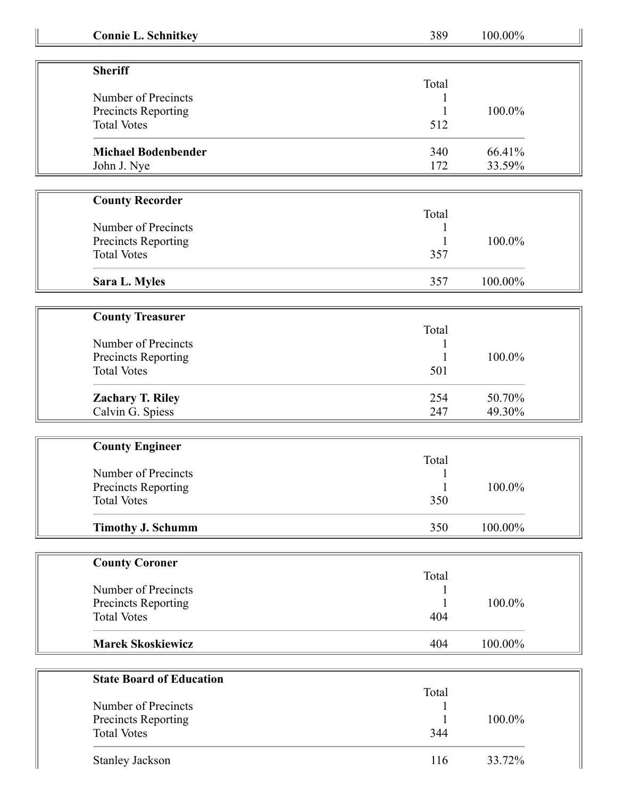| <b>Connie L. Schnitkey</b>      | 389          | 100.00% |
|---------------------------------|--------------|---------|
| <b>Sheriff</b>                  |              |         |
|                                 | Total        |         |
| Number of Precincts             |              |         |
| Precincts Reporting             |              | 100.0%  |
| <b>Total Votes</b>              | 512          |         |
| <b>Michael Bodenbender</b>      | 340          | 66.41%  |
| John J. Nye                     | 172          | 33.59%  |
| <b>County Recorder</b>          |              |         |
|                                 | Total        |         |
| Number of Precincts             |              |         |
| Precincts Reporting             |              | 100.0%  |
| <b>Total Votes</b>              | 357          |         |
|                                 |              |         |
| Sara L. Myles                   | 357          | 100.00% |
| <b>County Treasurer</b>         |              |         |
|                                 | Total        |         |
| Number of Precincts             |              |         |
| Precincts Reporting             |              | 100.0%  |
| <b>Total Votes</b>              | 501          |         |
| <b>Zachary T. Riley</b>         | 254          | 50.70%  |
| Calvin G. Spiess                | 247          | 49.30%  |
|                                 |              |         |
| <b>County Engineer</b>          |              |         |
|                                 | Total        |         |
| Number of Precincts             |              |         |
| <b>Precincts Reporting</b>      | $\mathbf{1}$ | 100.0%  |
| <b>Total Votes</b>              | 350          |         |
| <b>Timothy J. Schumm</b>        | 350          | 100.00% |
|                                 |              |         |
| <b>County Coroner</b>           | Total        |         |
| Number of Precincts             |              |         |
| Precincts Reporting             |              | 100.0%  |
| <b>Total Votes</b>              | 404          |         |
| <b>Marek Skoskiewicz</b>        | 404          | 100.00% |
|                                 |              |         |
| <b>State Board of Education</b> |              |         |
|                                 | Total        |         |
| Number of Precincts             |              |         |
| Precincts Reporting             |              | 100.0%  |
| <b>Total Votes</b>              | 344          |         |
|                                 |              |         |

116 33.72%

Stanley Jackson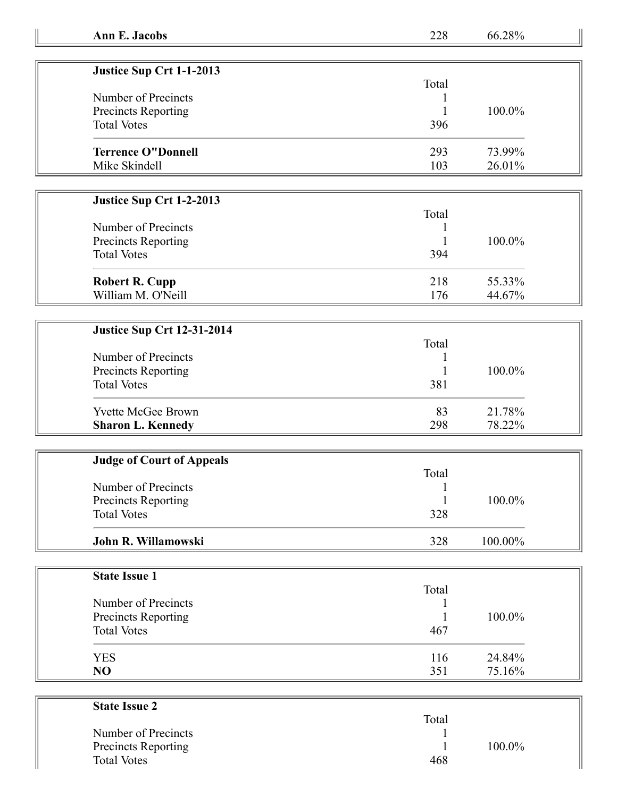| Ann E. Jacobs | 228 | 66.28% |
|---------------|-----|--------|
|---------------|-----|--------|

| Justice Sup Crt 1-1-2013   |       |           |
|----------------------------|-------|-----------|
|                            | Total |           |
| Number of Precincts        |       |           |
| <b>Precincts Reporting</b> |       | $100.0\%$ |
| <b>Total Votes</b>         | 396   |           |
| <b>Terrence O"Donnell</b>  | 293   | 73.99%    |
| Mike Skindell              | 103   | $26.01\%$ |

## **Justice Sup Crt 1-2-2013**

| Number of Precincts   | Total |        |
|-----------------------|-------|--------|
|                       |       |        |
| Precincts Reporting   |       | 100.0% |
| <b>Total Votes</b>    | 394   |        |
| <b>Robert R. Cupp</b> | 218   | 55.33% |
| William M. O'Neill    | 176   | 44.67% |

## **Justice Sup Crt 12-31-2014**

|                            | Total |           |
|----------------------------|-------|-----------|
| Number of Precincts        |       |           |
| <b>Precincts Reporting</b> |       | $100.0\%$ |
| <b>Total Votes</b>         | 381   |           |
| <b>Yvette McGee Brown</b>  | 83    | 21.78%    |
| <b>Sharon L. Kennedy</b>   | 298   | 78.22%    |

| <b>Judge of Court of Appeals</b> |       |         |  |
|----------------------------------|-------|---------|--|
|                                  | Total |         |  |
| Number of Precincts              |       |         |  |
| Precincts Reporting              |       | 100.0%  |  |
| <b>Total Votes</b>               | 328   |         |  |
| John R. Willamowski              | 328   | 100.00% |  |

| <b>State Issue 1</b> |       |        |
|----------------------|-------|--------|
|                      | Total |        |
| Number of Precincts  |       |        |
| Precincts Reporting  |       | 100.0% |
| <b>Total Votes</b>   | 467   |        |
| <b>YES</b>           | 116   | 24.84% |
| N <sub>O</sub>       | 351   | 75.16% |

| <b>State Issue 2</b>       |        |  |
|----------------------------|--------|--|
|                            | Total  |  |
| Number of Precincts        |        |  |
| <b>Precincts Reporting</b> | 100.0% |  |
| <b>Total Votes</b>         | 468    |  |